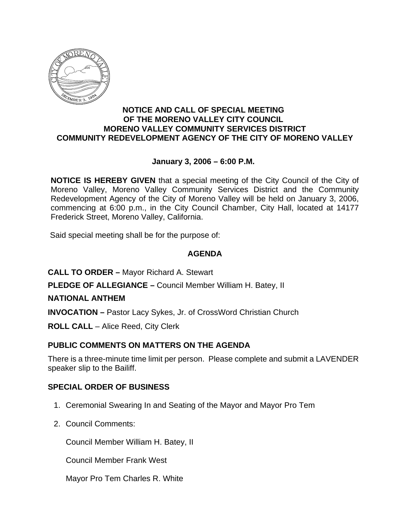

## **NOTICE AND CALL OF SPECIAL MEETING OF THE MORENO VALLEY CITY COUNCIL MORENO VALLEY COMMUNITY SERVICES DISTRICT COMMUNITY REDEVELOPMENT AGENCY OF THE CITY OF MORENO VALLEY**

# **January 3, 2006 – 6:00 P.M.**

**NOTICE IS HEREBY GIVEN** that a special meeting of the City Council of the City of Moreno Valley, Moreno Valley Community Services District and the Community Redevelopment Agency of the City of Moreno Valley will be held on January 3, 2006, commencing at 6:00 p.m., in the City Council Chamber, City Hall, located at 14177 Frederick Street, Moreno Valley, California.

Said special meeting shall be for the purpose of:

# **AGENDA**

**CALL TO ORDER –** Mayor Richard A. Stewart

**PLEDGE OF ALLEGIANCE –** Council Member William H. Batey, II

## **NATIONAL ANTHEM**

**INVOCATION –** Pastor Lacy Sykes, Jr. of CrossWord Christian Church

**ROLL CALL** – Alice Reed, City Clerk

# **PUBLIC COMMENTS ON MATTERS ON THE AGENDA**

There is a three-minute time limit per person. Please complete and submit a LAVENDER speaker slip to the Bailiff.

# **SPECIAL ORDER OF BUSINESS**

- 1. Ceremonial Swearing In and Seating of the Mayor and Mayor Pro Tem
- 2. Council Comments:

Council Member William H. Batey, II

Council Member Frank West

Mayor Pro Tem Charles R. White